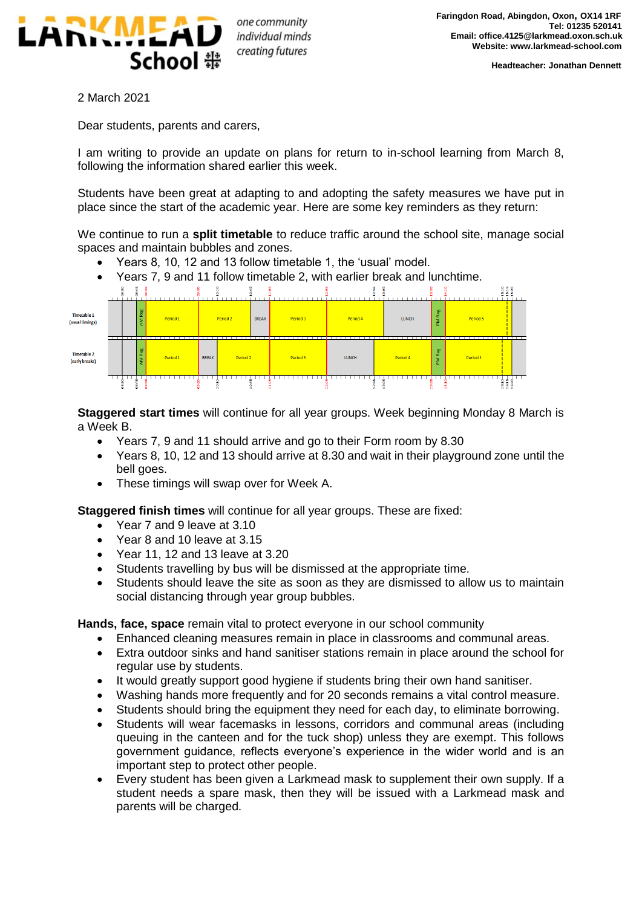

one community individual minds creating futures

2 March 2021

Dear students, parents and carers,

I am writing to provide an update on plans for return to in-school learning from March 8, following the information shared earlier this week.

Students have been great at adapting to and adopting the safety measures we have put in place since the start of the academic year. Here are some key reminders as they return:

We continue to run a **split timetable** to reduce traffic around the school site, manage social spaces and maintain bubbles and zones.

- Years 8, 10, 12 and 13 follow timetable 1, the 'usual' model.
- Years 7, 9 and 11 follow timetable 2, with earlier break and lunchtime.



**Staggered start times** will continue for all year groups. Week beginning Monday 8 March is a Week B.

- Years 7, 9 and 11 should arrive and go to their Form room by 8.30
- Years 8, 10, 12 and 13 should arrive at 8.30 and wait in their playground zone until the bell goes.
- These timings will swap over for Week A.

**Staggered finish times** will continue for all year groups. These are fixed:

- Year 7 and 9 leave at 3.10
- Year 8 and 10 leave at 3.15
- Year 11, 12 and 13 leave at 3.20
- Students travelling by bus will be dismissed at the appropriate time.
- Students should leave the site as soon as they are dismissed to allow us to maintain social distancing through year group bubbles.

**Hands, face, space** remain vital to protect everyone in our school community

- Enhanced cleaning measures remain in place in classrooms and communal areas.
- Extra outdoor sinks and hand sanitiser stations remain in place around the school for regular use by students.
- It would greatly support good hygiene if students bring their own hand sanitiser.
- Washing hands more frequently and for 20 seconds remains a vital control measure.
- Students should bring the equipment they need for each day, to eliminate borrowing.
- Students will wear facemasks in lessons, corridors and communal areas (including queuing in the canteen and for the tuck shop) unless they are exempt. This follows government guidance, reflects everyone's experience in the wider world and is an important step to protect other people.
- Every student has been given a Larkmead mask to supplement their own supply. If a student needs a spare mask, then they will be issued with a Larkmead mask and parents will be charged.